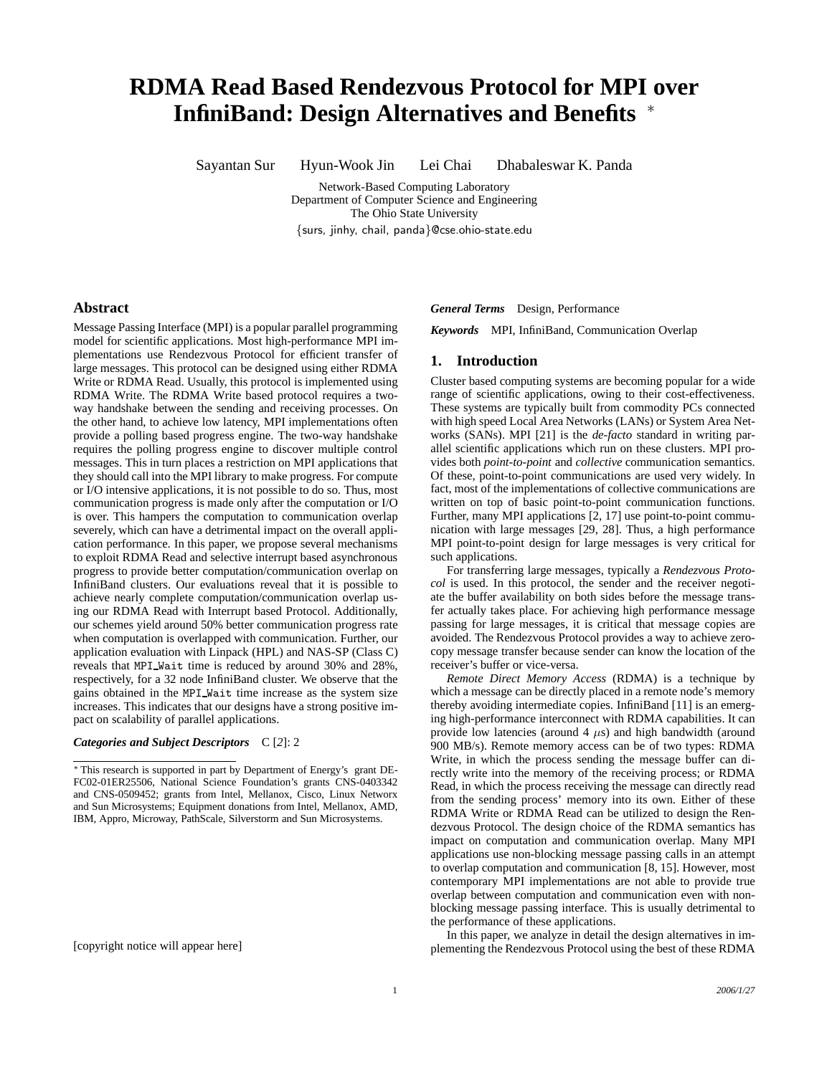# **RDMA Read Based Rendezvous Protocol for MPI over InfiniBand: Design Alternatives and Benefits** <sup>∗</sup>

Sayantan Sur Hyun-Wook Jin Lei Chai Dhabaleswar K. Panda

Network-Based Computing Laboratory Department of Computer Science and Engineering The Ohio State University {surs, jinhy, chail, panda}@cse.ohio-state.edu

### **Abstract**

Message Passing Interface (MPI) is a popular parallel programming model for scientific applications. Most high-performance MPI implementations use Rendezvous Protocol for efficient transfer of large messages. This protocol can be designed using either RDMA Write or RDMA Read. Usually, this protocol is implemented using RDMA Write. The RDMA Write based protocol requires a twoway handshake between the sending and receiving processes. On the other hand, to achieve low latency, MPI implementations often provide a polling based progress engine. The two-way handshake requires the polling progress engine to discover multiple control messages. This in turn places a restriction on MPI applications that they should call into the MPI library to make progress. For compute or I/O intensive applications, it is not possible to do so. Thus, most communication progress is made only after the computation or I/O is over. This hampers the computation to communication overlap severely, which can have a detrimental impact on the overall application performance. In this paper, we propose several mechanisms to exploit RDMA Read and selective interrupt based asynchronous progress to provide better computation/communication overlap on InfiniBand clusters. Our evaluations reveal that it is possible to achieve nearly complete computation/communication overlap using our RDMA Read with Interrupt based Protocol. Additionally, our schemes yield around 50% better communication progress rate when computation is overlapped with communication. Further, our application evaluation with Linpack (HPL) and NAS-SP (Class C) reveals that MPI Wait time is reduced by around 30% and 28%, respectively, for a 32 node InfiniBand cluster. We observe that the gains obtained in the MPI Wait time increase as the system size increases. This indicates that our designs have a strong positive impact on scalability of parallel applications.

#### *Categories and Subject Descriptors* C [*2*]: 2

#### [copyright notice will appear here]

*General Terms* Design, Performance

*Keywords* MPI, InfiniBand, Communication Overlap

#### **1. Introduction**

Cluster based computing systems are becoming popular for a wide range of scientific applications, owing to their cost-effectiveness. These systems are typically built from commodity PCs connected with high speed Local Area Networks (LANs) or System Area Networks (SANs). MPI [21] is the *de-facto* standard in writing parallel scientific applications which run on these clusters. MPI provides both *point-to-point* and *collective* communication semantics. Of these, point-to-point communications are used very widely. In fact, most of the implementations of collective communications are written on top of basic point-to-point communication functions. Further, many MPI applications [2, 17] use point-to-point communication with large messages [29, 28]. Thus, a high performance MPI point-to-point design for large messages is very critical for such applications.

For transferring large messages, typically a *Rendezvous Protocol* is used. In this protocol, the sender and the receiver negotiate the buffer availability on both sides before the message transfer actually takes place. For achieving high performance message passing for large messages, it is critical that message copies are avoided. The Rendezvous Protocol provides a way to achieve zerocopy message transfer because sender can know the location of the receiver's buffer or vice-versa.

*Remote Direct Memory Access* (RDMA) is a technique by which a message can be directly placed in a remote node's memory thereby avoiding intermediate copies. InfiniBand [11] is an emerging high-performance interconnect with RDMA capabilities. It can provide low latencies (around 4  $\mu$ s) and high bandwidth (around 900 MB/s). Remote memory access can be of two types: RDMA Write, in which the process sending the message buffer can directly write into the memory of the receiving process; or RDMA Read, in which the process receiving the message can directly read from the sending process' memory into its own. Either of these RDMA Write or RDMA Read can be utilized to design the Rendezvous Protocol. The design choice of the RDMA semantics has impact on computation and communication overlap. Many MPI applications use non-blocking message passing calls in an attempt to overlap computation and communication [8, 15]. However, most contemporary MPI implementations are not able to provide true overlap between computation and communication even with nonblocking message passing interface. This is usually detrimental to the performance of these applications.

In this paper, we analyze in detail the design alternatives in implementing the Rendezvous Protocol using the best of these RDMA

<sup>∗</sup> This research is supported in part by Department of Energy's grant DE-FC02-01ER25506, National Science Foundation's grants CNS-0403342 and CNS-0509452; grants from Intel, Mellanox, Cisco, Linux Networx and Sun Microsystems; Equipment donations from Intel, Mellanox, AMD, IBM, Appro, Microway, PathScale, Silverstorm and Sun Microsystems.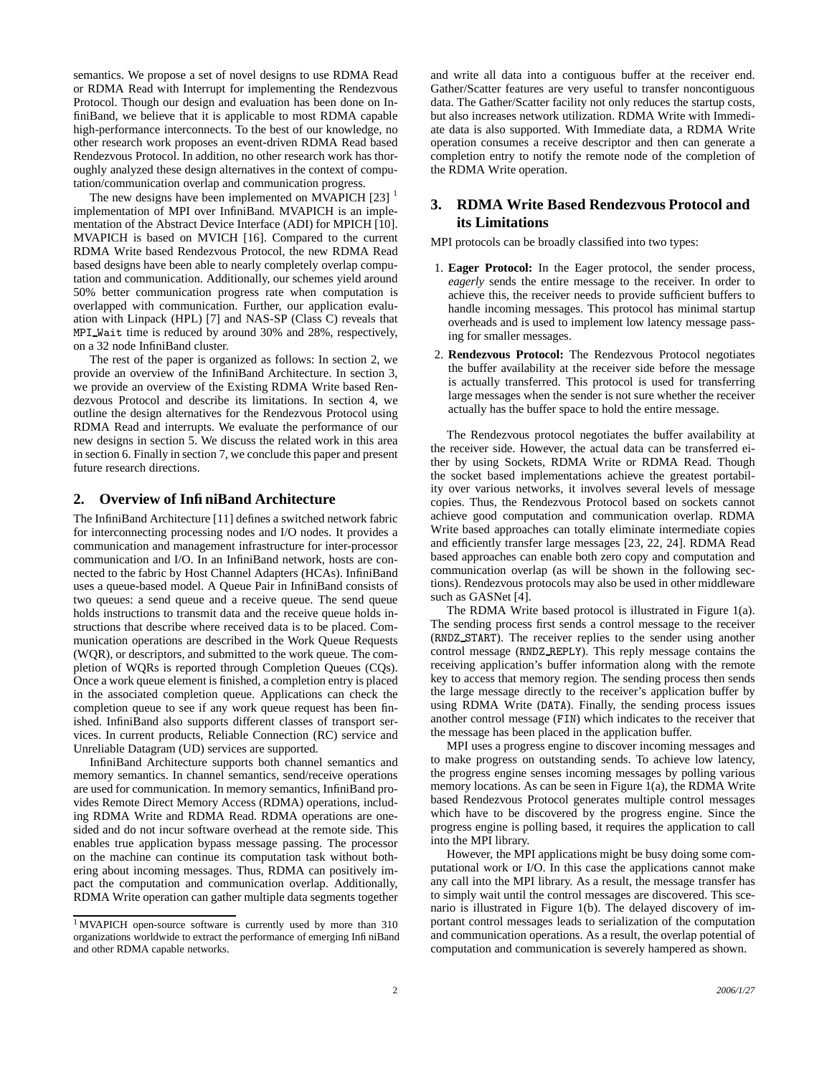semantics. We propose a set of novel designs to use RDMA Read or RDMA Read with Interrupt for implementing the Rendezvous Protocol. Though our design and evaluation has been done on InfiniBand, we believe that it is applicable to most RDMA capable high-performance interconnects. To the best of our knowledge, no other research work proposes an event-driven RDMA Read based Rendezvous Protocol. In addition, no other research work has thoroughly analyzed these design alternatives in the context of computation/communication overlap and communication progress.

The new designs have been implemented on MVAPICH  $[23]$ <sup>1</sup> implementation of MPI over InfiniBand. MVAPICH is an implementation of the Abstract Device Interface (ADI) for MPICH [10]. MVAPICH is based on MVICH [16]. Compared to the current RDMA Write based Rendezvous Protocol, the new RDMA Read based designs have been able to nearly completely overlap computation and communication. Additionally, our schemes yield around 50% better communication progress rate when computation is overlapped with communication. Further, our application evaluation with Linpack (HPL) [7] and NAS-SP (Class C) reveals that MPI Wait time is reduced by around 30% and 28%, respectively, on a 32 node InfiniBand cluster.

The rest of the paper is organized as follows: In section 2, we provide an overview of the InfiniBand Architecture. In section 3, we provide an overview of the Existing RDMA Write based Rendezvous Protocol and describe its limitations. In section 4, we outline the design alternatives for the Rendezvous Protocol using RDMA Read and interrupts. We evaluate the performance of our new designs in section 5. We discuss the related work in this area in section 6. Finally in section 7, we conclude this paper and present future research directions.

# **2. Overview of InfiniBand Architecture**

The InfiniBand Architecture [11] defines a switched network fabric for interconnecting processing nodes and I/O nodes. It provides a communication and management infrastructure for inter-processor communication and I/O. In an InfiniBand network, hosts are connected to the fabric by Host Channel Adapters (HCAs). InfiniBand uses a queue-based model. A Queue Pair in InfiniBand consists of two queues: a send queue and a receive queue. The send queue holds instructions to transmit data and the receive queue holds instructions that describe where received data is to be placed. Communication operations are described in the Work Queue Requests (WQR), or descriptors, and submitted to the work queue. The completion of WQRs is reported through Completion Queues (CQs). Once a work queue element is finished, a completion entry is placed in the associated completion queue. Applications can check the completion queue to see if any work queue request has been finished. InfiniBand also supports different classes of transport services. In current products, Reliable Connection (RC) service and Unreliable Datagram (UD) services are supported.

InfiniBand Architecture supports both channel semantics and memory semantics. In channel semantics, send/receive operations are used for communication. In memory semantics, InfiniBand provides Remote Direct Memory Access (RDMA) operations, including RDMA Write and RDMA Read. RDMA operations are onesided and do not incur software overhead at the remote side. This enables true application bypass message passing. The processor on the machine can continue its computation task without bothering about incoming messages. Thus, RDMA can positively impact the computation and communication overlap. Additionally, RDMA Write operation can gather multiple data segments together and write all data into a contiguous buffer at the receiver end. Gather/Scatter features are very useful to transfer noncontiguous data. The Gather/Scatter facility not only reduces the startup costs, but also increases network utilization. RDMA Write with Immediate data is also supported. With Immediate data, a RDMA Write operation consumes a receive descriptor and then can generate a completion entry to notify the remote node of the completion of the RDMA Write operation.

# **3. RDMA Write Based Rendezvous Protocol and its Limitations**

MPI protocols can be broadly classified into two types:

- 1. **Eager Protocol:** In the Eager protocol, the sender process, *eagerly* sends the entire message to the receiver. In order to achieve this, the receiver needs to provide sufficient buffers to handle incoming messages. This protocol has minimal startup overheads and is used to implement low latency message passing for smaller messages.
- 2. **Rendezvous Protocol:** The Rendezvous Protocol negotiates the buffer availability at the receiver side before the message is actually transferred. This protocol is used for transferring large messages when the sender is not sure whether the receiver actually has the buffer space to hold the entire message.

The Rendezvous protocol negotiates the buffer availability at the receiver side. However, the actual data can be transferred either by using Sockets, RDMA Write or RDMA Read. Though the socket based implementations achieve the greatest portability over various networks, it involves several levels of message copies. Thus, the Rendezvous Protocol based on sockets cannot achieve good computation and communication overlap. RDMA Write based approaches can totally eliminate intermediate copies and efficiently transfer large messages [23, 22, 24]. RDMA Read based approaches can enable both zero copy and computation and communication overlap (as will be shown in the following sections). Rendezvous protocols may also be used in other middleware such as GASNet [4].

The RDMA Write based protocol is illustrated in Figure 1(a). The sending process first sends a control message to the receiver (RNDZ START). The receiver replies to the sender using another control message (RNDZ REPLY). This reply message contains the receiving application's buffer information along with the remote key to access that memory region. The sending process then sends the large message directly to the receiver's application buffer by using RDMA Write (DATA). Finally, the sending process issues another control message (FIN) which indicates to the receiver that the message has been placed in the application buffer.

MPI uses a progress engine to discover incoming messages and to make progress on outstanding sends. To achieve low latency, the progress engine senses incoming messages by polling various memory locations. As can be seen in Figure 1(a), the RDMA Write based Rendezvous Protocol generates multiple control messages which have to be discovered by the progress engine. Since the progress engine is polling based, it requires the application to call into the MPI library.

However, the MPI applications might be busy doing some computational work or I/O. In this case the applications cannot make any call into the MPI library. As a result, the message transfer has to simply wait until the control messages are discovered. This scenario is illustrated in Figure 1(b). The delayed discovery of important control messages leads to serialization of the computation and communication operations. As a result, the overlap potential of computation and communication is severely hampered as shown.

<sup>&</sup>lt;sup>1</sup> MVAPICH open-source software is currently used by more than 310 organizations worldwide to extract the performance of emerging InfiniBand and other RDMA capable networks.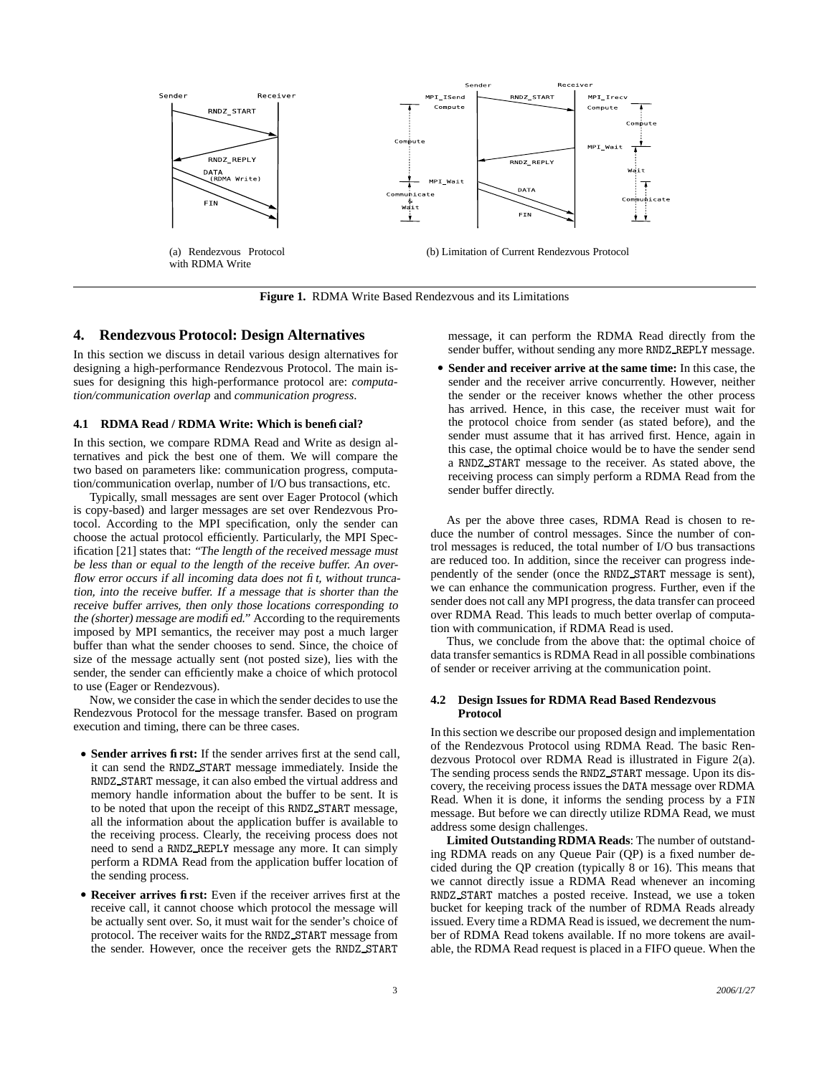

**Figure 1.** RDMA Write Based Rendezvous and its Limitations

## **4. Rendezvous Protocol: Design Alternatives**

In this section we discuss in detail various design alternatives for designing a high-performance Rendezvous Protocol. The main issues for designing this high-performance protocol are: *computation/communication overlap* and *communication progress*.

#### **4.1 RDMA Read / RDMA Write: Which is beneficial?**

In this section, we compare RDMA Read and Write as design alternatives and pick the best one of them. We will compare the two based on parameters like: communication progress, computation/communication overlap, number of I/O bus transactions, etc.

Typically, small messages are sent over Eager Protocol (which is copy-based) and larger messages are set over Rendezvous Protocol. According to the MPI specification, only the sender can choose the actual protocol efficiently. Particularly, the MPI Specification [21] states that: "The length of the received message must be less than or equal to the length of the receive buffer. An overflow error occurs if all incoming data does not fit, without truncation, into the receive buffer. If <sup>a</sup> message that is shorter than the receive buffer arrives, then only those locations corresponding to the (shorter) message are modified." According to the requirements imposed by MPI semantics, the receiver may post a much larger buffer than what the sender chooses to send. Since, the choice of size of the message actually sent (not posted size), lies with the sender, the sender can efficiently make a choice of which protocol to use (Eager or Rendezvous).

Now, we consider the case in which the sender decides to use the Rendezvous Protocol for the message transfer. Based on program execution and timing, there can be three cases.

- **Sender arrives first:** If the sender arrives first at the send call, it can send the RNDZ START message immediately. Inside the RNDZ START message, it can also embed the virtual address and memory handle information about the buffer to be sent. It is to be noted that upon the receipt of this RNDZ START message, all the information about the application buffer is available to the receiving process. Clearly, the receiving process does not need to send a RNDZ REPLY message any more. It can simply perform a RDMA Read from the application buffer location of the sending process.
- **Receiver arrives first:** Even if the receiver arrives first at the receive call, it cannot choose which protocol the message will be actually sent over. So, it must wait for the sender's choice of protocol. The receiver waits for the RNDZ START message from the sender. However, once the receiver gets the RNDZ START

message, it can perform the RDMA Read directly from the sender buffer, without sending any more RNDZ REPLY message.

• **Sender and receiver arrive at the same time:** In this case, the sender and the receiver arrive concurrently. However, neither the sender or the receiver knows whether the other process has arrived. Hence, in this case, the receiver must wait for the protocol choice from sender (as stated before), and the sender must assume that it has arrived first. Hence, again in this case, the optimal choice would be to have the sender send a RNDZ START message to the receiver. As stated above, the receiving process can simply perform a RDMA Read from the sender buffer directly.

As per the above three cases, RDMA Read is chosen to reduce the number of control messages. Since the number of control messages is reduced, the total number of I/O bus transactions are reduced too. In addition, since the receiver can progress independently of the sender (once the RNDZ START message is sent), we can enhance the communication progress. Further, even if the sender does not call any MPI progress, the data transfer can proceed over RDMA Read. This leads to much better overlap of computation with communication, if RDMA Read is used.

Thus, we conclude from the above that: the optimal choice of data transfer semantics is RDMA Read in all possible combinations of sender or receiver arriving at the communication point.

#### **4.2 Design Issues for RDMA Read Based Rendezvous Protocol**

In this section we describe our proposed design and implementation of the Rendezvous Protocol using RDMA Read. The basic Rendezvous Protocol over RDMA Read is illustrated in Figure 2(a). The sending process sends the RNDZ START message. Upon its discovery, the receiving process issues the DATA message over RDMA Read. When it is done, it informs the sending process by a FIN message. But before we can directly utilize RDMA Read, we must address some design challenges.

**Limited Outstanding RDMA Reads**: The number of outstanding RDMA reads on any Queue Pair (QP) is a fixed number decided during the QP creation (typically 8 or 16). This means that we cannot directly issue a RDMA Read whenever an incoming RNDZ START matches a posted receive. Instead, we use a token bucket for keeping track of the number of RDMA Reads already issued. Every time a RDMA Read is issued, we decrement the number of RDMA Read tokens available. If no more tokens are available, the RDMA Read request is placed in a FIFO queue. When the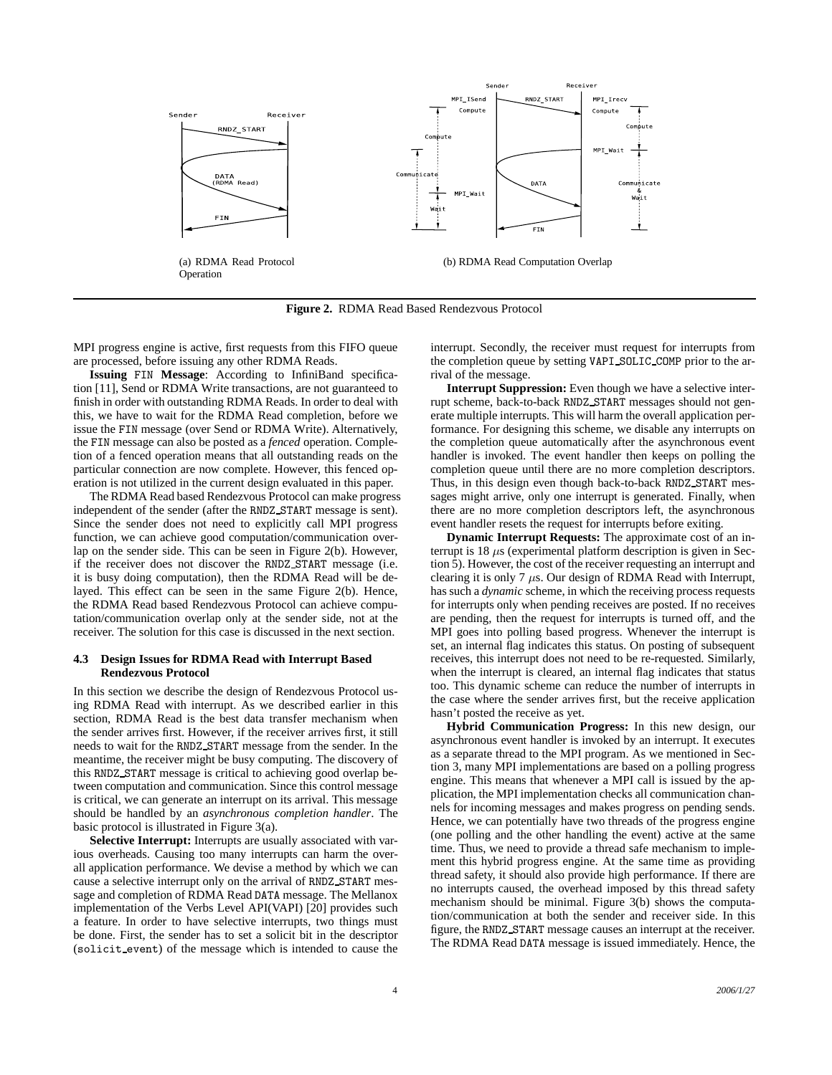

**Figure 2.** RDMA Read Based Rendezvous Protocol

MPI progress engine is active, first requests from this FIFO queue are processed, before issuing any other RDMA Reads.

**Issuing** FIN **Message**: According to InfiniBand specification [11], Send or RDMA Write transactions, are not guaranteed to finish in order with outstanding RDMA Reads. In order to deal with this, we have to wait for the RDMA Read completion, before we issue the FIN message (over Send or RDMA Write). Alternatively, the FIN message can also be posted as a *fenced* operation. Completion of a fenced operation means that all outstanding reads on the particular connection are now complete. However, this fenced operation is not utilized in the current design evaluated in this paper.

The RDMA Read based Rendezvous Protocol can make progress independent of the sender (after the RNDZ START message is sent). Since the sender does not need to explicitly call MPI progress function, we can achieve good computation/communication overlap on the sender side. This can be seen in Figure 2(b). However, if the receiver does not discover the RNDZ START message (i.e. it is busy doing computation), then the RDMA Read will be delayed. This effect can be seen in the same Figure 2(b). Hence, the RDMA Read based Rendezvous Protocol can achieve computation/communication overlap only at the sender side, not at the receiver. The solution for this case is discussed in the next section.

#### **4.3 Design Issues for RDMA Read with Interrupt Based Rendezvous Protocol**

In this section we describe the design of Rendezvous Protocol using RDMA Read with interrupt. As we described earlier in this section, RDMA Read is the best data transfer mechanism when the sender arrives first. However, if the receiver arrives first, it still needs to wait for the RNDZ START message from the sender. In the meantime, the receiver might be busy computing. The discovery of this RNDZ START message is critical to achieving good overlap between computation and communication. Since this control message is critical, we can generate an interrupt on its arrival. This message should be handled by an *asynchronous completion handler*. The basic protocol is illustrated in Figure 3(a).

**Selective Interrupt:** Interrupts are usually associated with various overheads. Causing too many interrupts can harm the overall application performance. We devise a method by which we can cause a selective interrupt only on the arrival of RNDZ START message and completion of RDMA Read DATA message. The Mellanox implementation of the Verbs Level API(VAPI) [20] provides such a feature. In order to have selective interrupts, two things must be done. First, the sender has to set a solicit bit in the descriptor (solicit event) of the message which is intended to cause the interrupt. Secondly, the receiver must request for interrupts from the completion queue by setting VAPI SOLIC COMP prior to the arrival of the message.

**Interrupt Suppression:** Even though we have a selective interrupt scheme, back-to-back RNDZ START messages should not generate multiple interrupts. This will harm the overall application performance. For designing this scheme, we disable any interrupts on the completion queue automatically after the asynchronous event handler is invoked. The event handler then keeps on polling the completion queue until there are no more completion descriptors. Thus, in this design even though back-to-back RNDZ START messages might arrive, only one interrupt is generated. Finally, when there are no more completion descriptors left, the asynchronous event handler resets the request for interrupts before exiting.

**Dynamic Interrupt Requests:** The approximate cost of an interrupt is  $18 \mu s$  (experimental platform description is given in Section 5). However, the cost of the receiver requesting an interrupt and clearing it is only  $7 \mu s$ . Our design of RDMA Read with Interrupt, has such a *dynamic* scheme, in which the receiving process requests for interrupts only when pending receives are posted. If no receives are pending, then the request for interrupts is turned off, and the MPI goes into polling based progress. Whenever the interrupt is set, an internal flag indicates this status. On posting of subsequent receives, this interrupt does not need to be re-requested. Similarly, when the interrupt is cleared, an internal flag indicates that status too. This dynamic scheme can reduce the number of interrupts in the case where the sender arrives first, but the receive application hasn't posted the receive as yet.

**Hybrid Communication Progress:** In this new design, our asynchronous event handler is invoked by an interrupt. It executes as a separate thread to the MPI program. As we mentioned in Section 3, many MPI implementations are based on a polling progress engine. This means that whenever a MPI call is issued by the application, the MPI implementation checks all communication channels for incoming messages and makes progress on pending sends. Hence, we can potentially have two threads of the progress engine (one polling and the other handling the event) active at the same time. Thus, we need to provide a thread safe mechanism to implement this hybrid progress engine. At the same time as providing thread safety, it should also provide high performance. If there are no interrupts caused, the overhead imposed by this thread safety mechanism should be minimal. Figure 3(b) shows the computation/communication at both the sender and receiver side. In this figure, the RNDZ START message causes an interrupt at the receiver. The RDMA Read DATA message is issued immediately. Hence, the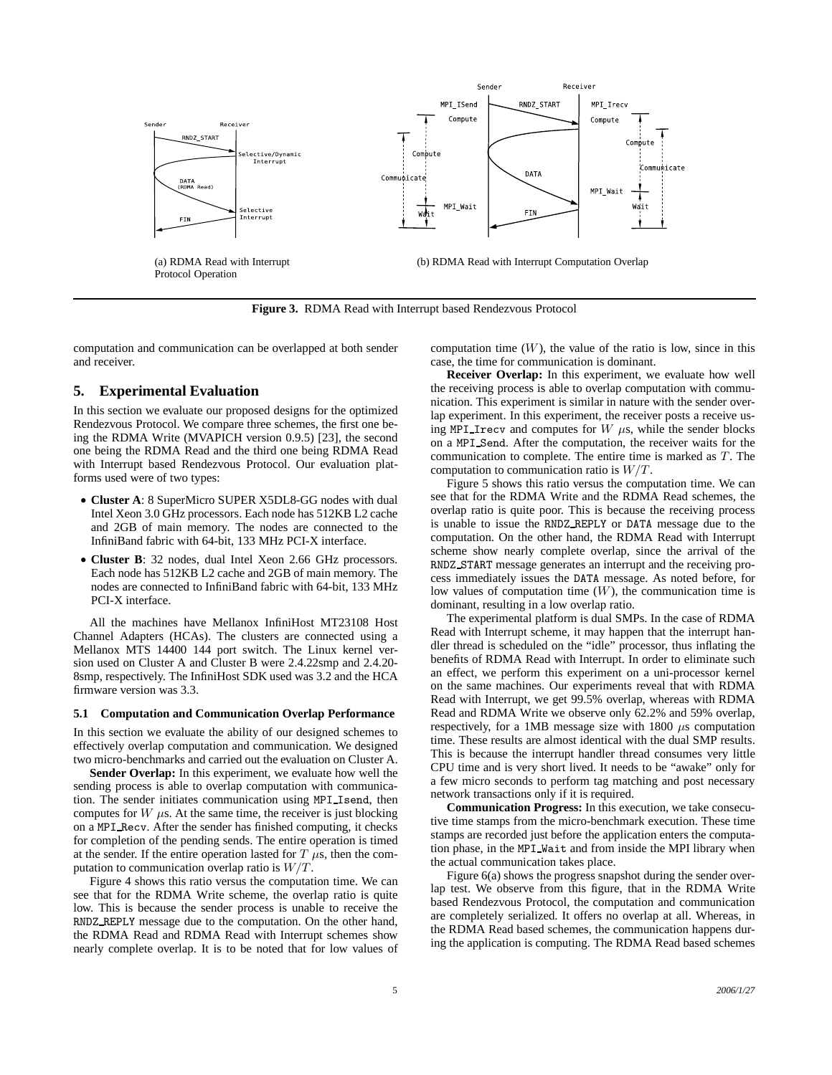

**Figure 3.** RDMA Read with Interrupt based Rendezvous Protocol

computation and communication can be overlapped at both sender and receiver.

# **5. Experimental Evaluation**

In this section we evaluate our proposed designs for the optimized Rendezvous Protocol. We compare three schemes, the first one being the RDMA Write (MVAPICH version 0.9.5) [23], the second one being the RDMA Read and the third one being RDMA Read with Interrupt based Rendezvous Protocol. Our evaluation platforms used were of two types:

- **Cluster A**: 8 SuperMicro SUPER X5DL8-GG nodes with dual Intel Xeon 3.0 GHz processors. Each node has 512KB L2 cache and 2GB of main memory. The nodes are connected to the InfiniBand fabric with 64-bit, 133 MHz PCI-X interface.
- **Cluster B**: 32 nodes, dual Intel Xeon 2.66 GHz processors. Each node has 512KB L2 cache and 2GB of main memory. The nodes are connected to InfiniBand fabric with 64-bit, 133 MHz PCI-X interface.

All the machines have Mellanox InfiniHost MT23108 Host Channel Adapters (HCAs). The clusters are connected using a Mellanox MTS 14400 144 port switch. The Linux kernel version used on Cluster A and Cluster B were 2.4.22smp and 2.4.20- 8smp, respectively. The InfiniHost SDK used was 3.2 and the HCA firmware version was 3.3.

#### **5.1 Computation and Communication Overlap Performance**

In this section we evaluate the ability of our designed schemes to effectively overlap computation and communication. We designed two micro-benchmarks and carried out the evaluation on Cluster A.

**Sender Overlap:** In this experiment, we evaluate how well the sending process is able to overlap computation with communication. The sender initiates communication using MPI Isend, then computes for  $W$   $\mu$ s. At the same time, the receiver is just blocking on a MPI Recv. After the sender has finished computing, it checks for completion of the pending sends. The entire operation is timed at the sender. If the entire operation lasted for  $T \mu s$ , then the computation to communication overlap ratio is  $W/T$ .

Figure 4 shows this ratio versus the computation time. We can see that for the RDMA Write scheme, the overlap ratio is quite low. This is because the sender process is unable to receive the RNDZ REPLY message due to the computation. On the other hand, the RDMA Read and RDMA Read with Interrupt schemes show nearly complete overlap. It is to be noted that for low values of

computation time  $(W)$ , the value of the ratio is low, since in this case, the time for communication is dominant.

**Receiver Overlap:** In this experiment, we evaluate how well the receiving process is able to overlap computation with communication. This experiment is similar in nature with the sender overlap experiment. In this experiment, the receiver posts a receive using MPI Irecv and computes for  $W$   $\mu$ s, while the sender blocks on a MPI Send. After the computation, the receiver waits for the communication to complete. The entire time is marked as  $T$ . The computation to communication ratio is  $W/T$ .

Figure 5 shows this ratio versus the computation time. We can see that for the RDMA Write and the RDMA Read schemes, the overlap ratio is quite poor. This is because the receiving process is unable to issue the RNDZ REPLY or DATA message due to the computation. On the other hand, the RDMA Read with Interrupt scheme show nearly complete overlap, since the arrival of the RNDZ START message generates an interrupt and the receiving process immediately issues the DATA message. As noted before, for low values of computation time  $(W)$ , the communication time is dominant, resulting in a low overlap ratio.

The experimental platform is dual SMPs. In the case of RDMA Read with Interrupt scheme, it may happen that the interrupt handler thread is scheduled on the "idle" processor, thus inflating the benefits of RDMA Read with Interrupt. In order to eliminate such an effect, we perform this experiment on a uni-processor kernel on the same machines. Our experiments reveal that with RDMA Read with Interrupt, we get 99.5% overlap, whereas with RDMA Read and RDMA Write we observe only 62.2% and 59% overlap, respectively, for a 1MB message size with 1800  $\mu$ s computation time. These results are almost identical with the dual SMP results. This is because the interrupt handler thread consumes very little CPU time and is very short lived. It needs to be "awake" only for a few micro seconds to perform tag matching and post necessary network transactions only if it is required.

**Communication Progress:** In this execution, we take consecutive time stamps from the micro-benchmark execution. These time stamps are recorded just before the application enters the computation phase, in the MPI Wait and from inside the MPI library when the actual communication takes place.

Figure 6(a) shows the progress snapshot during the sender overlap test. We observe from this figure, that in the RDMA Write based Rendezvous Protocol, the computation and communication are completely serialized. It offers no overlap at all. Whereas, in the RDMA Read based schemes, the communication happens during the application is computing. The RDMA Read based schemes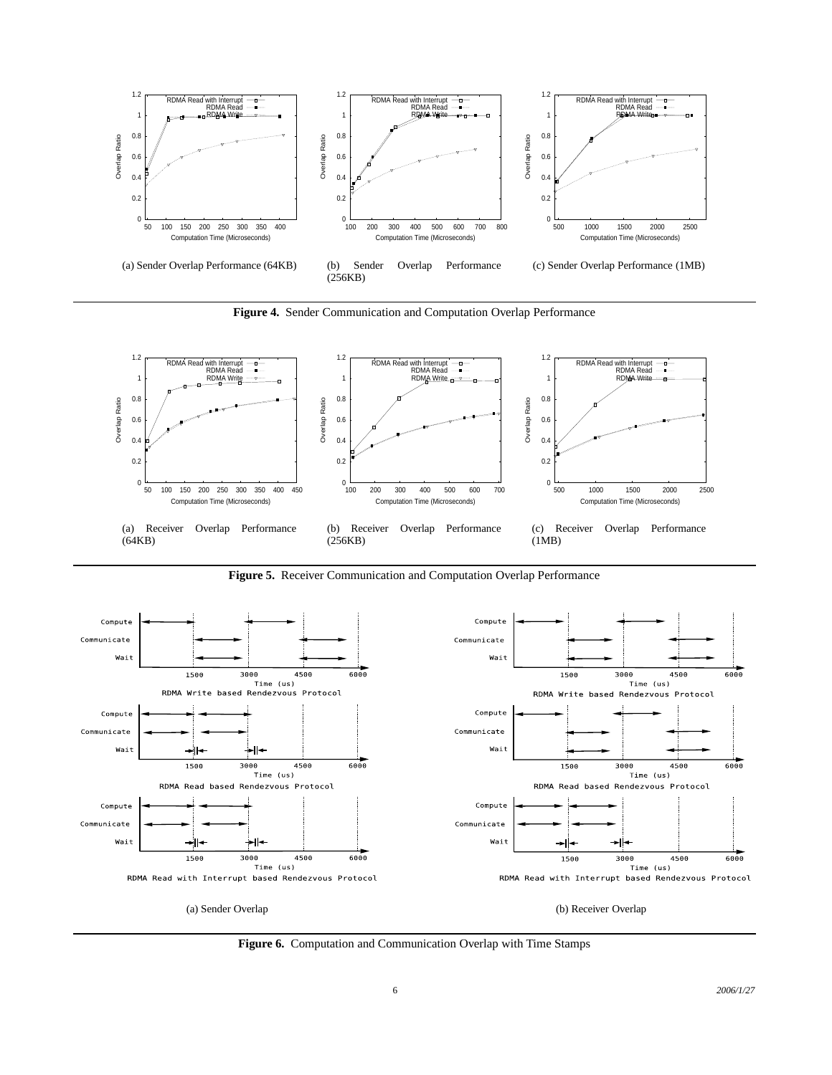

**Figure 4.** Sender Communication and Computation Overlap Performance



**Figure 5.** Receiver Communication and Computation Overlap Performance



**Figure 6.** Computation and Communication Overlap with Time Stamps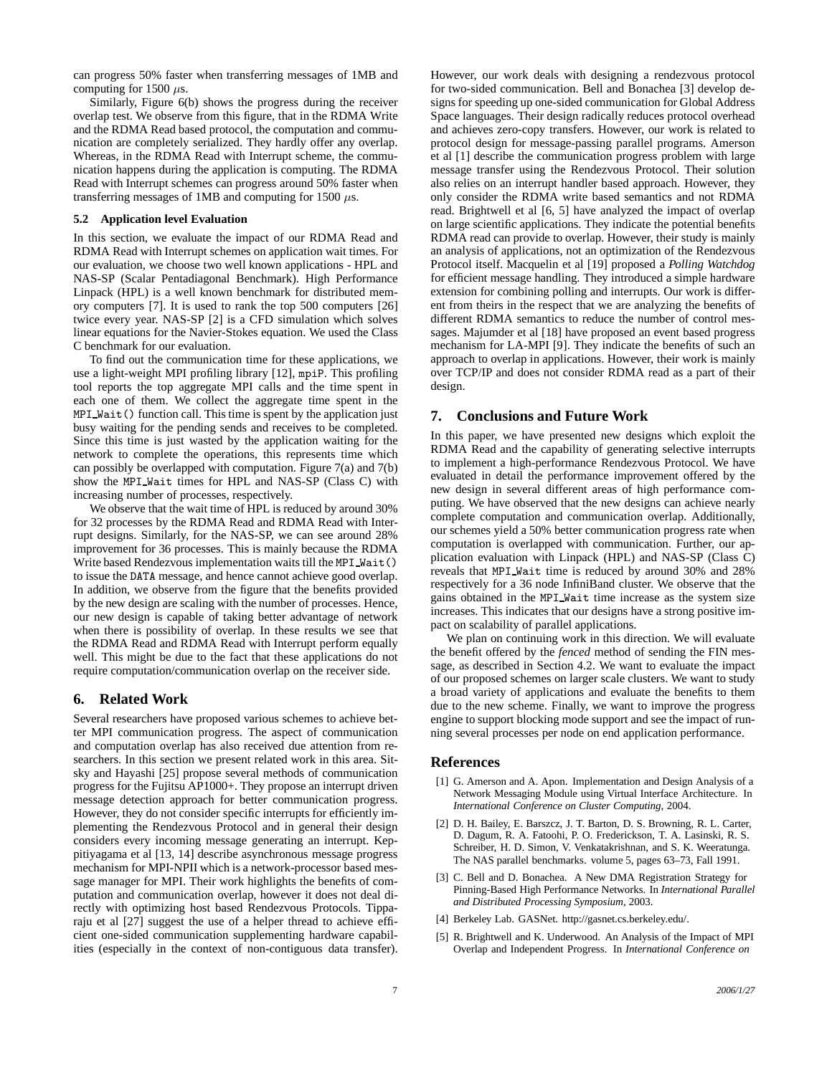can progress 50% faster when transferring messages of 1MB and computing for 1500  $\mu$ s.

Similarly, Figure 6(b) shows the progress during the receiver overlap test. We observe from this figure, that in the RDMA Write and the RDMA Read based protocol, the computation and communication are completely serialized. They hardly offer any overlap. Whereas, in the RDMA Read with Interrupt scheme, the communication happens during the application is computing. The RDMA Read with Interrupt schemes can progress around 50% faster when transferring messages of 1MB and computing for 1500  $\mu$ s.

#### **5.2 Application level Evaluation**

In this section, we evaluate the impact of our RDMA Read and RDMA Read with Interrupt schemes on application wait times. For our evaluation, we choose two well known applications - HPL and NAS-SP (Scalar Pentadiagonal Benchmark). High Performance Linpack (HPL) is a well known benchmark for distributed memory computers [7]. It is used to rank the top 500 computers [26] twice every year. NAS-SP [2] is a CFD simulation which solves linear equations for the Navier-Stokes equation. We used the Class C benchmark for our evaluation.

To find out the communication time for these applications, we use a light-weight MPI profiling library [12], mpiP. This profiling tool reports the top aggregate MPI calls and the time spent in each one of them. We collect the aggregate time spent in the MPI Wait() function call. This time is spent by the application just busy waiting for the pending sends and receives to be completed. Since this time is just wasted by the application waiting for the network to complete the operations, this represents time which can possibly be overlapped with computation. Figure 7(a) and 7(b) show the MPI Wait times for HPL and NAS-SP (Class C) with increasing number of processes, respectively.

We observe that the wait time of HPL is reduced by around 30% for 32 processes by the RDMA Read and RDMA Read with Interrupt designs. Similarly, for the NAS-SP, we can see around 28% improvement for 36 processes. This is mainly because the RDMA Write based Rendezvous implementation waits till the MPI Wait() to issue the DATA message, and hence cannot achieve good overlap. In addition, we observe from the figure that the benefits provided by the new design are scaling with the number of processes. Hence, our new design is capable of taking better advantage of network when there is possibility of overlap. In these results we see that the RDMA Read and RDMA Read with Interrupt perform equally well. This might be due to the fact that these applications do not require computation/communication overlap on the receiver side.

#### **6. Related Work**

Several researchers have proposed various schemes to achieve better MPI communication progress. The aspect of communication and computation overlap has also received due attention from researchers. In this section we present related work in this area. Sitsky and Hayashi [25] propose several methods of communication progress for the Fujitsu AP1000+. They propose an interrupt driven message detection approach for better communication progress. However, they do not consider specific interrupts for efficiently implementing the Rendezvous Protocol and in general their design considers every incoming message generating an interrupt. Keppitiyagama et al [13, 14] describe asynchronous message progress mechanism for MPI-NPII which is a network-processor based message manager for MPI. Their work highlights the benefits of computation and communication overlap, however it does not deal directly with optimizing host based Rendezvous Protocols. Tipparaju et al [27] suggest the use of a helper thread to achieve efficient one-sided communication supplementing hardware capabilities (especially in the context of non-contiguous data transfer).

However, our work deals with designing a rendezvous protocol for two-sided communication. Bell and Bonachea [3] develop designs for speeding up one-sided communication for Global Address Space languages. Their design radically reduces protocol overhead and achieves zero-copy transfers. However, our work is related to protocol design for message-passing parallel programs. Amerson et al [1] describe the communication progress problem with large message transfer using the Rendezvous Protocol. Their solution also relies on an interrupt handler based approach. However, they only consider the RDMA write based semantics and not RDMA read. Brightwell et al [6, 5] have analyzed the impact of overlap on large scientific applications. They indicate the potential benefits RDMA read can provide to overlap. However, their study is mainly an analysis of applications, not an optimization of the Rendezvous Protocol itself. Macquelin et al [19] proposed a *Polling Watchdog* for efficient message handling. They introduced a simple hardware extension for combining polling and interrupts. Our work is different from theirs in the respect that we are analyzing the benefits of different RDMA semantics to reduce the number of control messages. Majumder et al [18] have proposed an event based progress mechanism for LA-MPI [9]. They indicate the benefits of such an approach to overlap in applications. However, their work is mainly over TCP/IP and does not consider RDMA read as a part of their design.

#### **7. Conclusions and Future Work**

In this paper, we have presented new designs which exploit the RDMA Read and the capability of generating selective interrupts to implement a high-performance Rendezvous Protocol. We have evaluated in detail the performance improvement offered by the new design in several different areas of high performance computing. We have observed that the new designs can achieve nearly complete computation and communication overlap. Additionally, our schemes yield a 50% better communication progress rate when computation is overlapped with communication. Further, our application evaluation with Linpack (HPL) and NAS-SP (Class C) reveals that MPI Wait time is reduced by around 30% and 28% respectively for a 36 node InfiniBand cluster. We observe that the gains obtained in the MPI Wait time increase as the system size increases. This indicates that our designs have a strong positive impact on scalability of parallel applications.

We plan on continuing work in this direction. We will evaluate the benefit offered by the *fenced* method of sending the FIN message, as described in Section 4.2. We want to evaluate the impact of our proposed schemes on larger scale clusters. We want to study a broad variety of applications and evaluate the benefits to them due to the new scheme. Finally, we want to improve the progress engine to support blocking mode support and see the impact of running several processes per node on end application performance.

#### **References**

- [1] G. Amerson and A. Apon. Implementation and Design Analysis of a Network Messaging Module using Virtual Interface Architecture. In *International Conference on Cluster Computing*, 2004.
- [2] D. H. Bailey, E. Barszcz, J. T. Barton, D. S. Browning, R. L. Carter, D. Dagum, R. A. Fatoohi, P. O. Frederickson, T. A. Lasinski, R. S. Schreiber, H. D. Simon, V. Venkatakrishnan, and S. K. Weeratunga. The NAS parallel benchmarks. volume 5, pages 63–73, Fall 1991.
- [3] C. Bell and D. Bonachea. A New DMA Registration Strategy for Pinning-Based High Performance Networks. In *International Parallel and Distributed Processing Symposium*, 2003.
- [4] Berkeley Lab. GASNet. http://gasnet.cs.berkeley.edu/.
- [5] R. Brightwell and K. Underwood. An Analysis of the Impact of MPI Overlap and Independent Progress. In *International Conference on*